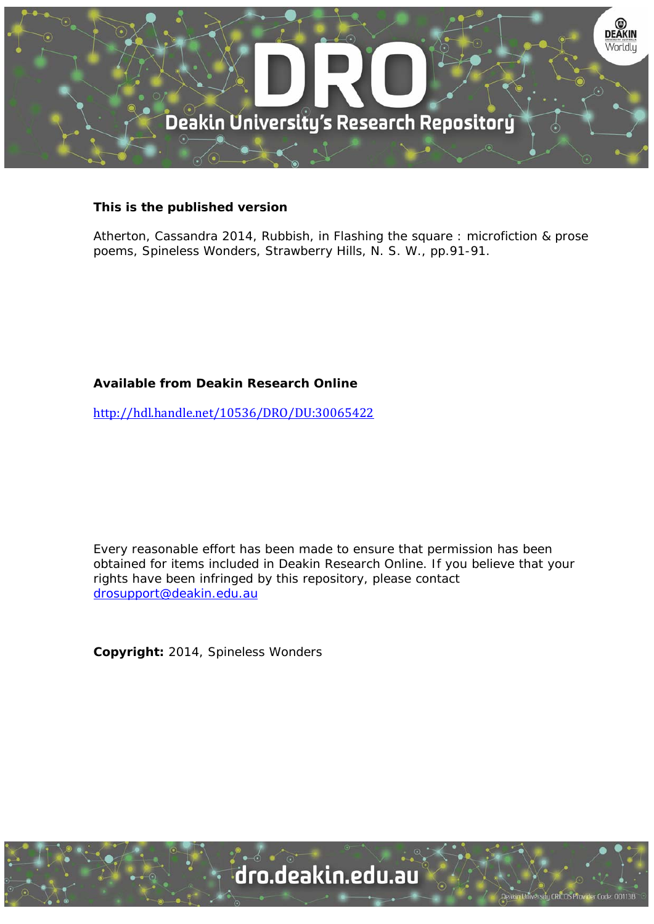

## **This is the published version**

Atherton, Cassandra 2014, Rubbish, in Flashing the square : microfiction & prose poems, Spineless Wonders, Strawberry Hills, N. S. W., pp.91-91.

## **Available from Deakin Research Online**

http://hdl.handle.net/10536/DRO/DU:30065422

Every reasonable effort has been made to ensure that permission has been obtained for items included in Deakin Research Online. If you believe that your rights have been infringed by this repository, please contact drosupport@deakin.edu.au

**Copyright:** 2014, Spineless Wonders

University CRICOS Provider Code: 00113B